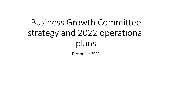# Business Growth Committee strategy and 2022 operational plans

December 2021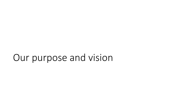## Our purpose and vision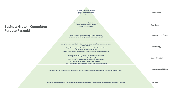

**An ambitious forward-thinking Growth Hub which is visibly contributing to a more inclusive, healthy, sustainable growing economy**

**Outcomes**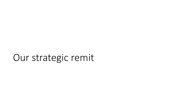## Our strategic remit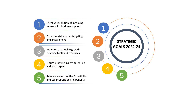Effective resolution of incoming requests for business support

Proactive stakeholder targeting



5

 $\blacksquare$ 

 $\bigcap$  $\angle$ 

> Provision of valuable growth enabling tools and resources

Future -proofing insight gathering and landscaping

Raise awareness of the Growth Hub and LEP proposition and benefits

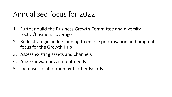#### Annualised focus for 2022

- 1. Further build the Business Growth Committee and diversify sector/business coverage
- 2. Build strategic understanding to enable prioritisation and pragmatic focus for the Growth Hub
- 3. Assess existing assets and channels
- 4. Assess inward investment needs
- 5. Increase collaboration with other Boards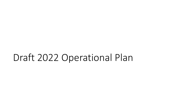## Draft 2022 Operational Plan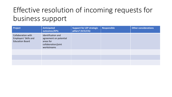### Effective resolution of incoming requests for business support

| Project                                                                      | Anticipated<br>outcomes/KPIs                                                                    | Support for LEP strategic<br>pillars? (H/S/I/G) | <b>Responsible</b> | <b>Other considerations</b> |
|------------------------------------------------------------------------------|-------------------------------------------------------------------------------------------------|-------------------------------------------------|--------------------|-----------------------------|
| <b>Collaboration with</b><br>Employers' Skills and<br><b>Education Board</b> | Identification and<br>agreement on potential<br>areas for<br>collaboration/joint<br>workstreams |                                                 |                    |                             |
|                                                                              |                                                                                                 |                                                 |                    |                             |
|                                                                              |                                                                                                 |                                                 |                    |                             |
|                                                                              |                                                                                                 |                                                 |                    |                             |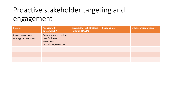#### Proactive stakeholder targeting and engagement

| Project                                   | <b>Anticipated</b><br>outcomes/KPIs                                                | <b>Support for LEP strategic</b><br>pillars? (H/S/I/G) | Responsible | <b>Other considerations</b> |
|-------------------------------------------|------------------------------------------------------------------------------------|--------------------------------------------------------|-------------|-----------------------------|
| Inward investment<br>strategy development | Development of business<br>case for inward<br>investment<br>capabilities/resources |                                                        |             |                             |
|                                           |                                                                                    |                                                        |             |                             |
|                                           |                                                                                    |                                                        |             |                             |
|                                           |                                                                                    |                                                        |             |                             |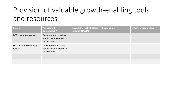#### Provision of valuable growth-enabling tools and resources

| Project                            | Anticipated<br>outcomes/KPIs                                    | <b>Support for LEP strategic</b><br>pillars? (H/S/I/G) | Responsible | <b>Other considerations</b> |
|------------------------------------|-----------------------------------------------------------------|--------------------------------------------------------|-------------|-----------------------------|
| DE&I resources review              | Development of value-<br>added resource tools to<br>be provided |                                                        |             |                             |
| Sustainability resources<br>review | Development of value-<br>added resource tools to<br>be provided |                                                        |             |                             |
|                                    |                                                                 |                                                        |             |                             |
|                                    |                                                                 |                                                        |             |                             |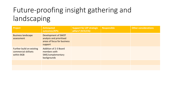### Future-proofing insight gathering and landscaping

| <b>Project</b>                                                  | Anticipated<br>outcomes/KPIs                                                              | <b>Support for LEP strategic</b><br>pillars? (H/S/I/G) | <b>Responsible</b> | <b>Other considerations</b> |
|-----------------------------------------------------------------|-------------------------------------------------------------------------------------------|--------------------------------------------------------|--------------------|-----------------------------|
| <b>Business landscape</b><br>assessment                         | Development of SWOT<br>analysis and prioritised<br>areas of focus for business<br>support |                                                        |                    |                             |
| Further build on existing<br>commercial skillsets<br>within BGB | <b>Addition of 2-3 Board</b><br>members with<br>SME/complementary<br>backgrounds          |                                                        |                    |                             |
|                                                                 |                                                                                           |                                                        |                    |                             |
|                                                                 |                                                                                           |                                                        |                    |                             |